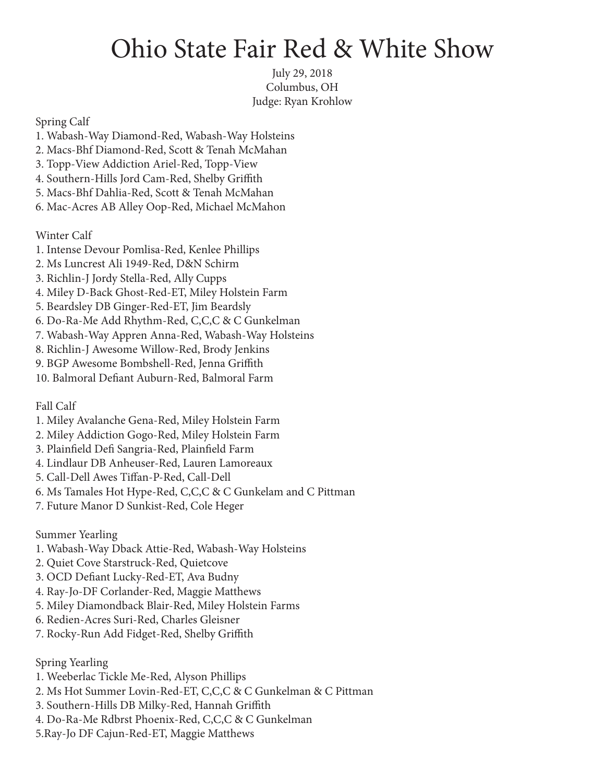## Ohio State Fair Red & White Show

July 29, 2018 Columbus, OH Judge: Ryan Krohlow

Spring Calf

- 1. Wabash-Way Diamond-Red, Wabash-Way Holsteins
- 2. Macs-Bhf Diamond-Red, Scott & Tenah McMahan
- 3. Topp-View Addiction Ariel-Red, Topp-View
- 4. Southern-Hills Jord Cam-Red, Shelby Griffith
- 5. Macs-Bhf Dahlia-Red, Scott & Tenah McMahan
- 6. Mac-Acres AB Alley Oop-Red, Michael McMahon

Winter Calf

- 1. Intense Devour Pomlisa-Red, Kenlee Phillips
- 2. Ms Luncrest Ali 1949-Red, D&N Schirm
- 3. Richlin-J Jordy Stella-Red, Ally Cupps
- 4. Miley D-Back Ghost-Red-ET, Miley Holstein Farm
- 5. Beardsley DB Ginger-Red-ET, Jim Beardsly
- 6. Do-Ra-Me Add Rhythm-Red, C,C,C & C Gunkelman
- 7. Wabash-Way Appren Anna-Red, Wabash-Way Holsteins
- 8. Richlin-J Awesome Willow-Red, Brody Jenkins
- 9. BGP Awesome Bombshell-Red, Jenna Griffith
- 10. Balmoral Defiant Auburn-Red, Balmoral Farm

Fall Calf

- 1. Miley Avalanche Gena-Red, Miley Holstein Farm
- 2. Miley Addiction Gogo-Red, Miley Holstein Farm
- 3. Plainfield Defi Sangria-Red, Plainfield Farm
- 4. Lindlaur DB Anheuser-Red, Lauren Lamoreaux
- 5. Call-Dell Awes Tiffan-P-Red, Call-Dell
- 6. Ms Tamales Hot Hype-Red, C,C,C & C Gunkelam and C Pittman
- 7. Future Manor D Sunkist-Red, Cole Heger

Summer Yearling

- 1. Wabash-Way Dback Attie-Red, Wabash-Way Holsteins
- 2. Quiet Cove Starstruck-Red, Quietcove
- 3. OCD Defiant Lucky-Red-ET, Ava Budny
- 4. Ray-Jo-DF Corlander-Red, Maggie Matthews
- 5. Miley Diamondback Blair-Red, Miley Holstein Farms
- 6. Redien-Acres Suri-Red, Charles Gleisner
- 7. Rocky-Run Add Fidget-Red, Shelby Griffith

Spring Yearling

- 1. Weeberlac Tickle Me-Red, Alyson Phillips
- 2. Ms Hot Summer Lovin-Red-ET, C,C,C & C Gunkelman & C Pittman
- 3. Southern-Hills DB Milky-Red, Hannah Griffith
- 4. Do-Ra-Me Rdbrst Phoenix-Red, C,C,C & C Gunkelman
- 5.Ray-Jo DF Cajun-Red-ET, Maggie Matthews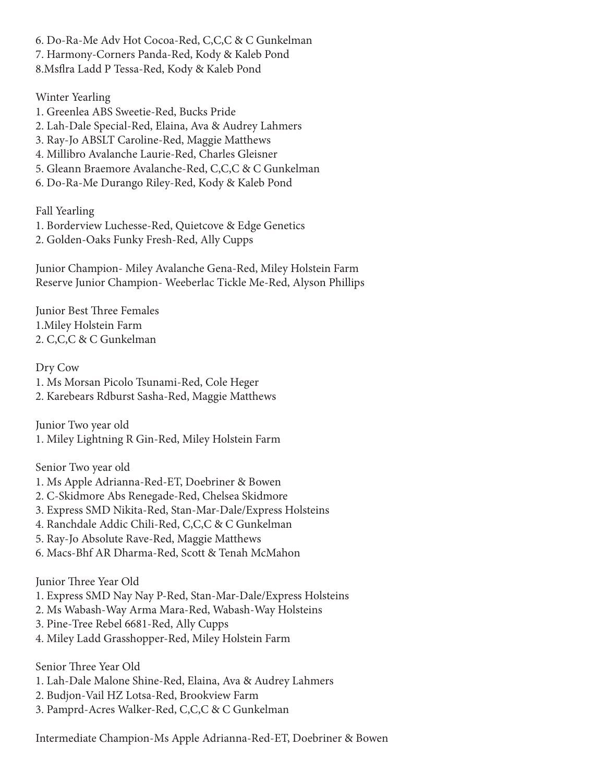6. Do-Ra-Me Adv Hot Cocoa-Red, C,C,C & C Gunkelman 7. Harmony-Corners Panda-Red, Kody & Kaleb Pond 8.Msflra Ladd P Tessa-Red, Kody & Kaleb Pond

Winter Yearling

1. Greenlea ABS Sweetie-Red, Bucks Pride 2. Lah-Dale Special-Red, Elaina, Ava & Audrey Lahmers 3. Ray-Jo ABSLT Caroline-Red, Maggie Matthews 4. Millibro Avalanche Laurie-Red, Charles Gleisner 5. Gleann Braemore Avalanche-Red, C,C,C & C Gunkelman 6. Do-Ra-Me Durango Riley-Red, Kody & Kaleb Pond

Fall Yearling

1. Borderview Luchesse-Red, Quietcove & Edge Genetics 2. Golden-Oaks Funky Fresh-Red, Ally Cupps

Junior Champion- Miley Avalanche Gena-Red, Miley Holstein Farm Reserve Junior Champion- Weeberlac Tickle Me-Red, Alyson Phillips

Junior Best Three Females 1.Miley Holstein Farm 2. C,C,C & C Gunkelman

Dry Cow 1. Ms Morsan Picolo Tsunami-Red, Cole Heger 2. Karebears Rdburst Sasha-Red, Maggie Matthews

Junior Two year old 1. Miley Lightning R Gin-Red, Miley Holstein Farm

Senior Two year old

- 1. Ms Apple Adrianna-Red-ET, Doebriner & Bowen
- 2. C-Skidmore Abs Renegade-Red, Chelsea Skidmore
- 3. Express SMD Nikita-Red, Stan-Mar-Dale/Express Holsteins
- 4. Ranchdale Addic Chili-Red, C,C,C & C Gunkelman
- 5. Ray-Jo Absolute Rave-Red, Maggie Matthews
- 6. Macs-Bhf AR Dharma-Red, Scott & Tenah McMahon

Junior Three Year Old

- 1. Express SMD Nay Nay P-Red, Stan-Mar-Dale/Express Holsteins
- 2. Ms Wabash-Way Arma Mara-Red, Wabash-Way Holsteins
- 3. Pine-Tree Rebel 6681-Red, Ally Cupps
- 4. Miley Ladd Grasshopper-Red, Miley Holstein Farm

Senior Three Year Old

- 1. Lah-Dale Malone Shine-Red, Elaina, Ava & Audrey Lahmers
- 2. Budjon-Vail HZ Lotsa-Red, Brookview Farm
- 3. Pamprd-Acres Walker-Red, C,C,C & C Gunkelman

Intermediate Champion-Ms Apple Adrianna-Red-ET, Doebriner & Bowen